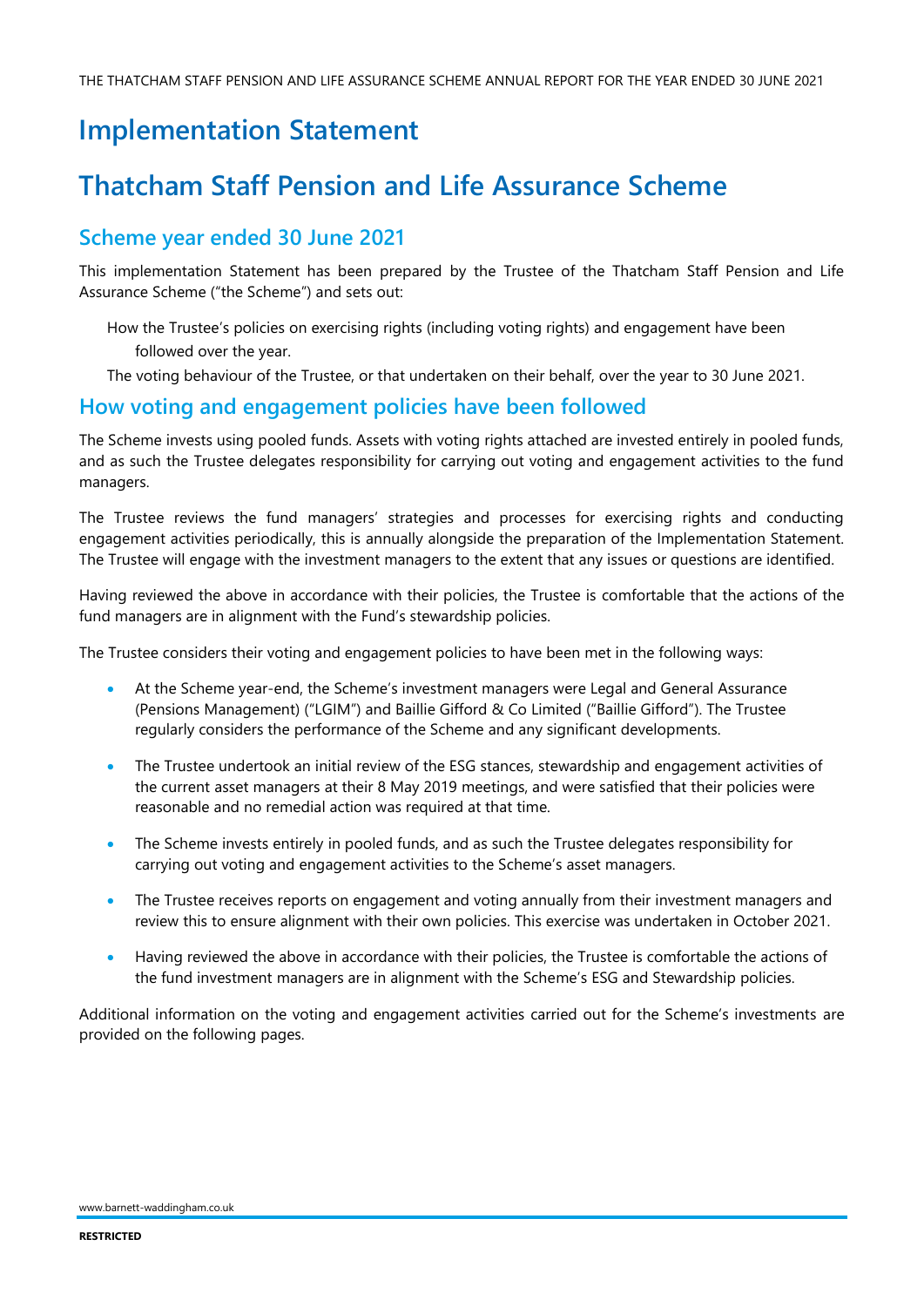# **Implementation Statement**

# **Thatcham Staff Pension and Life Assurance Scheme**

## **Scheme year ended 30 June 2021**

This implementation Statement has been prepared by the Trustee of the Thatcham Staff Pension and Life Assurance Scheme ("the Scheme") and sets out:

How the Trustee's policies on exercising rights (including voting rights) and engagement have been followed over the year.

The voting behaviour of the Trustee, or that undertaken on their behalf, over the year to 30 June 2021.

### **How voting and engagement policies have been followed**

The Scheme invests using pooled funds. Assets with voting rights attached are invested entirely in pooled funds, and as such the Trustee delegates responsibility for carrying out voting and engagement activities to the fund managers.

The Trustee reviews the fund managers' strategies and processes for exercising rights and conducting engagement activities periodically, this is annually alongside the preparation of the Implementation Statement. The Trustee will engage with the investment managers to the extent that any issues or questions are identified.

Having reviewed the above in accordance with their policies, the Trustee is comfortable that the actions of the fund managers are in alignment with the Fund's stewardship policies.

The Trustee considers their voting and engagement policies to have been met in the following ways:

- At the Scheme year-end, the Scheme's investment managers were Legal and General Assurance (Pensions Management) ("LGIM") and Baillie Gifford & Co Limited ("Baillie Gifford"). The Trustee regularly considers the performance of the Scheme and any significant developments.
- The Trustee undertook an initial review of the ESG stances, stewardship and engagement activities of the current asset managers at their 8 May 2019 meetings, and were satisfied that their policies were reasonable and no remedial action was required at that time.
- The Scheme invests entirely in pooled funds, and as such the Trustee delegates responsibility for carrying out voting and engagement activities to the Scheme's asset managers.
- The Trustee receives reports on engagement and voting annually from their investment managers and review this to ensure alignment with their own policies. This exercise was undertaken in October 2021.
- Having reviewed the above in accordance with their policies, the Trustee is comfortable the actions of the fund investment managers are in alignment with the Scheme's ESG and Stewardship policies.

Additional information on the voting and engagement activities carried out for the Scheme's investments are provided on the following pages.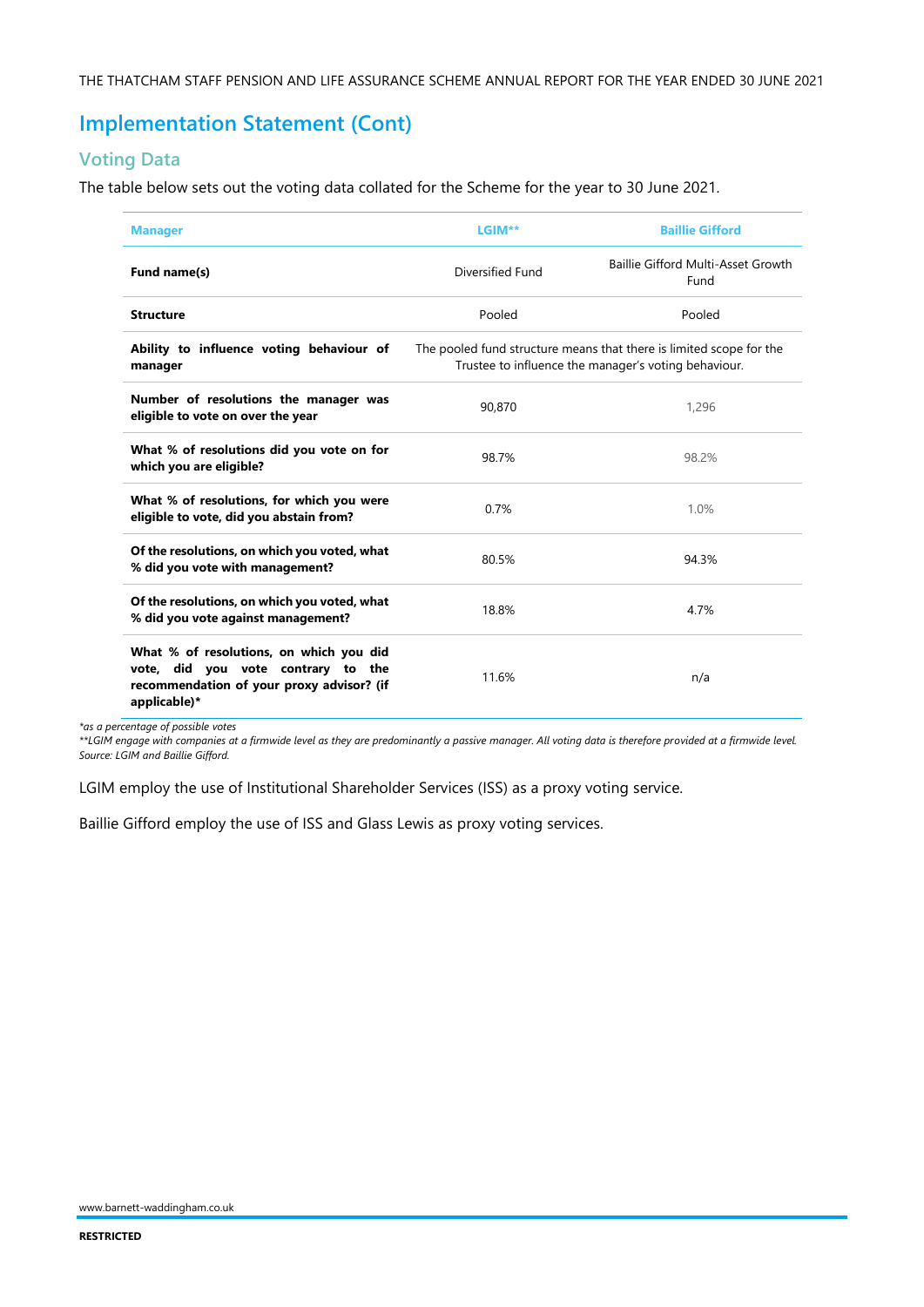## **Implementation Statement (Cont)**

### **Voting Data**

The table below sets out the voting data collated for the Scheme for the year to 30 June 2021.

| <b>Manager</b>                                                                                                                             | LGIM**                                                                                                                      | <b>Baillie Gifford</b>                     |  |
|--------------------------------------------------------------------------------------------------------------------------------------------|-----------------------------------------------------------------------------------------------------------------------------|--------------------------------------------|--|
| Fund name(s)                                                                                                                               | Diversified Fund                                                                                                            | Baillie Gifford Multi-Asset Growth<br>Fund |  |
| <b>Structure</b>                                                                                                                           | Pooled                                                                                                                      | Pooled                                     |  |
| Ability to influence voting behaviour of<br>manager                                                                                        | The pooled fund structure means that there is limited scope for the<br>Trustee to influence the manager's voting behaviour. |                                            |  |
| Number of resolutions the manager was<br>eligible to vote on over the year                                                                 | 90.870                                                                                                                      | 1,296                                      |  |
| What % of resolutions did you vote on for<br>which you are eligible?                                                                       | 98.7%                                                                                                                       | 98.2%                                      |  |
| What % of resolutions, for which you were<br>eligible to vote, did you abstain from?                                                       | 0.7%                                                                                                                        | 1.0%                                       |  |
| Of the resolutions, on which you voted, what<br>% did you vote with management?                                                            | 80.5%                                                                                                                       | 94.3%                                      |  |
| Of the resolutions, on which you voted, what<br>% did you vote against management?                                                         | 18.8%                                                                                                                       | 4.7%                                       |  |
| What % of resolutions, on which you did<br>vote, did you vote contrary to the<br>recommendation of your proxy advisor? (if<br>applicable)* | 11.6%                                                                                                                       | n/a                                        |  |

*\*as a percentage of possible votes*

*\*\*LGIM engage with companies at a firmwide level as they are predominantly a passive manager. All voting data is therefore provided at a firmwide level. Source: LGIM and Baillie Gifford.*

LGIM employ the use of Institutional Shareholder Services (ISS) as a proxy voting service.

Baillie Gifford employ the use of ISS and Glass Lewis as proxy voting services.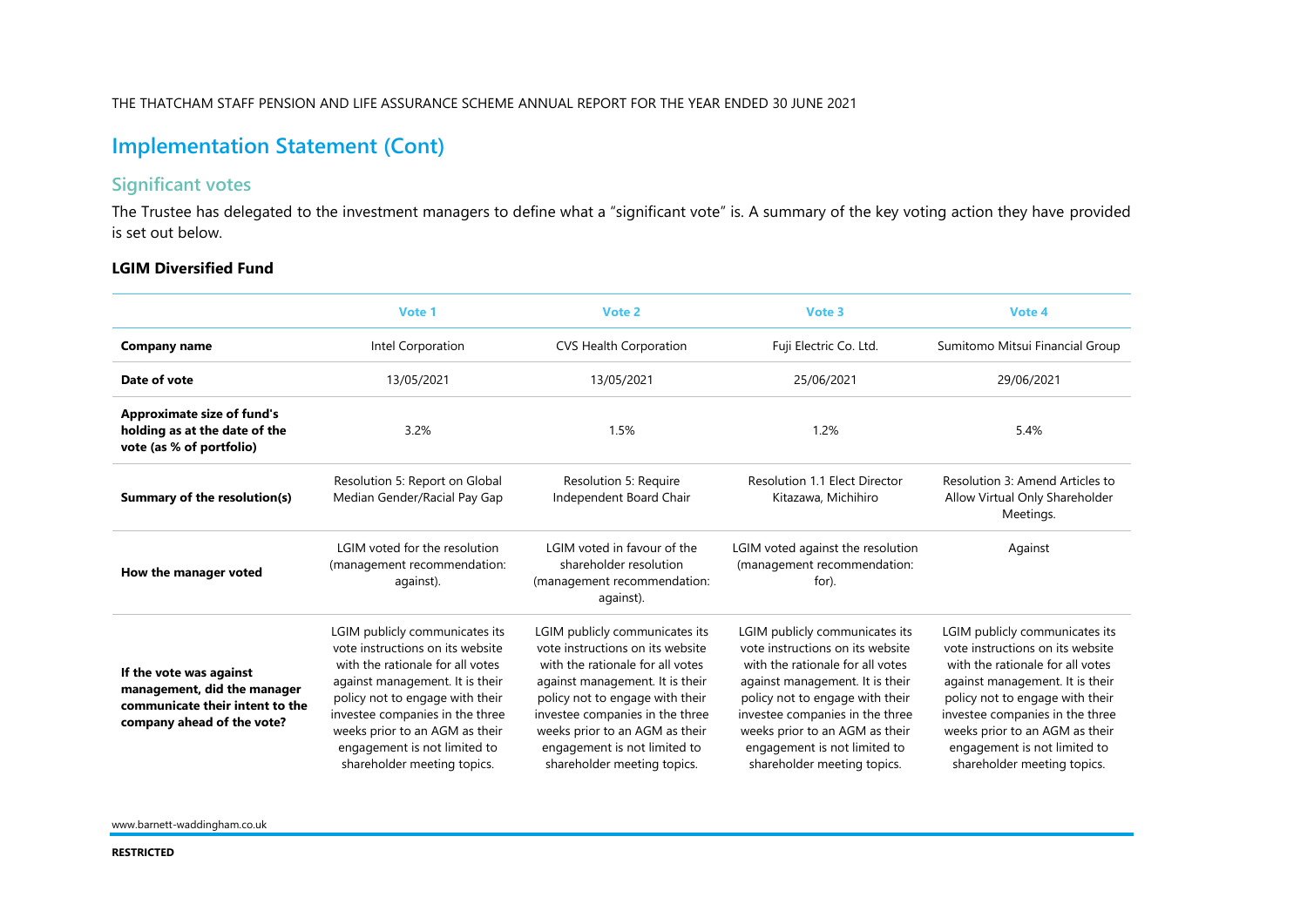## **Implementation Statement (Cont)**

### **Significant votes**

The Trustee has delegated to the investment managers to define what a "significant vote" is. A summary of the key voting action they have provided is set out below.

### **LGIM Diversified Fund**

|                                                                                                                         | Vote 1                                                                                                                                                                                                                                                                                                           | Vote 2                                                                                                                                                                                                                                                                                                           | Vote 3                                                                                                                                                                                                                                                                                                           |                                                                                                                                                                                                                                                                                                                  |
|-------------------------------------------------------------------------------------------------------------------------|------------------------------------------------------------------------------------------------------------------------------------------------------------------------------------------------------------------------------------------------------------------------------------------------------------------|------------------------------------------------------------------------------------------------------------------------------------------------------------------------------------------------------------------------------------------------------------------------------------------------------------------|------------------------------------------------------------------------------------------------------------------------------------------------------------------------------------------------------------------------------------------------------------------------------------------------------------------|------------------------------------------------------------------------------------------------------------------------------------------------------------------------------------------------------------------------------------------------------------------------------------------------------------------|
| <b>Company name</b>                                                                                                     | Intel Corporation                                                                                                                                                                                                                                                                                                | <b>CVS Health Corporation</b>                                                                                                                                                                                                                                                                                    | Fuji Electric Co. Ltd.                                                                                                                                                                                                                                                                                           | Sumitomo Mitsui Financial Group                                                                                                                                                                                                                                                                                  |
| Date of vote                                                                                                            | 13/05/2021                                                                                                                                                                                                                                                                                                       | 13/05/2021                                                                                                                                                                                                                                                                                                       | 25/06/2021                                                                                                                                                                                                                                                                                                       | 29/06/2021                                                                                                                                                                                                                                                                                                       |
| <b>Approximate size of fund's</b><br>holding as at the date of the<br>vote (as % of portfolio)                          | 3.2%                                                                                                                                                                                                                                                                                                             | 1.5%                                                                                                                                                                                                                                                                                                             | 1.2%                                                                                                                                                                                                                                                                                                             | 5.4%                                                                                                                                                                                                                                                                                                             |
| Summary of the resolution(s)                                                                                            | Resolution 5: Report on Global<br>Median Gender/Racial Pay Gap                                                                                                                                                                                                                                                   | Resolution 5: Require<br>Independent Board Chair                                                                                                                                                                                                                                                                 | <b>Resolution 1.1 Elect Director</b><br>Kitazawa, Michihiro                                                                                                                                                                                                                                                      | Resolution 3: Amend Articles to<br>Allow Virtual Only Shareholder<br>Meetings.                                                                                                                                                                                                                                   |
| How the manager voted                                                                                                   | LGIM voted for the resolution<br>(management recommendation:<br>against).                                                                                                                                                                                                                                        | LGIM voted in favour of the<br>shareholder resolution<br>(management recommendation:<br>against).                                                                                                                                                                                                                | LGIM voted against the resolution<br>(management recommendation:<br>for).                                                                                                                                                                                                                                        | Against                                                                                                                                                                                                                                                                                                          |
| If the vote was against<br>management, did the manager<br>communicate their intent to the<br>company ahead of the vote? | LGIM publicly communicates its<br>vote instructions on its website<br>with the rationale for all votes<br>against management. It is their<br>policy not to engage with their<br>investee companies in the three<br>weeks prior to an AGM as their<br>engagement is not limited to<br>shareholder meeting topics. | LGIM publicly communicates its<br>vote instructions on its website<br>with the rationale for all votes<br>against management. It is their<br>policy not to engage with their<br>investee companies in the three<br>weeks prior to an AGM as their<br>engagement is not limited to<br>shareholder meeting topics. | LGIM publicly communicates its<br>vote instructions on its website<br>with the rationale for all votes<br>against management. It is their<br>policy not to engage with their<br>investee companies in the three<br>weeks prior to an AGM as their<br>engagement is not limited to<br>shareholder meeting topics. | LGIM publicly communicates its<br>vote instructions on its website<br>with the rationale for all votes<br>against management. It is their<br>policy not to engage with their<br>investee companies in the three<br>weeks prior to an AGM as their<br>engagement is not limited to<br>shareholder meeting topics. |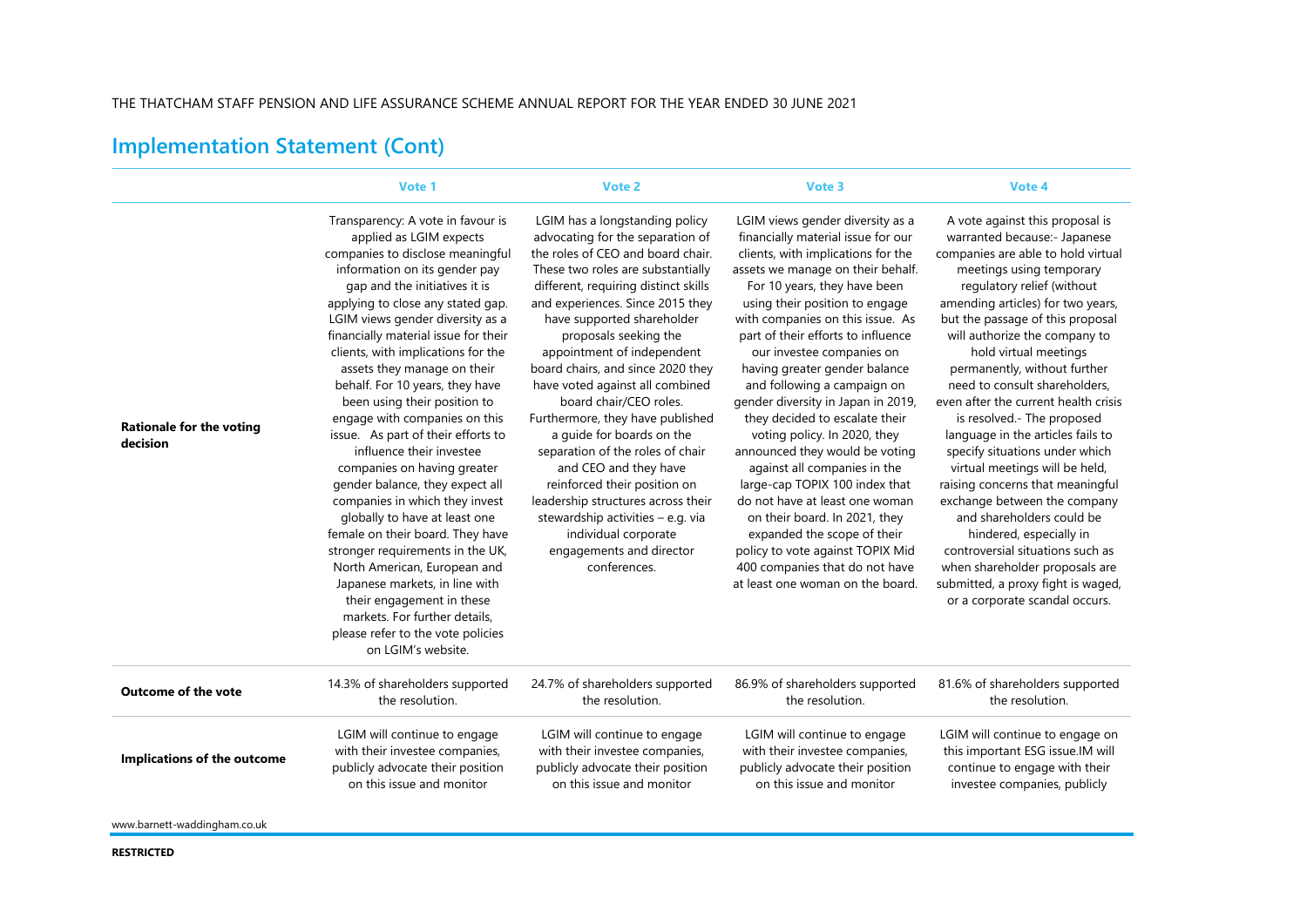#### THE THATCHAM STAFF PENSION AND LIFE ASSURANCE SCHEME ANNUAL REPORT FOR THE YEAR ENDED 30 JUNE 2021

# **Implementation Statement (Cont)**

|                                             | Vote 1                                                                                                                                                                                                                                                                                                                                                                                                                                                                                                                                                                                                                                                                                                                                                                                                                                                                                                                                 | Vote 2                                                                                                                                                                                                                                                                                                                                                                                                                                                                                                                                                                                                                                                                                                                       | Vote 3                                                                                                                                                                                                                                                                                                                                                                                                                                                                                                                                                                                                                                                                                                                                                                                                             | Vote 4                                                                                                                                                                                                                                                                                                                                                                                                                                                                                                                                                                                                                                                                                                                                                                                                                       |
|---------------------------------------------|----------------------------------------------------------------------------------------------------------------------------------------------------------------------------------------------------------------------------------------------------------------------------------------------------------------------------------------------------------------------------------------------------------------------------------------------------------------------------------------------------------------------------------------------------------------------------------------------------------------------------------------------------------------------------------------------------------------------------------------------------------------------------------------------------------------------------------------------------------------------------------------------------------------------------------------|------------------------------------------------------------------------------------------------------------------------------------------------------------------------------------------------------------------------------------------------------------------------------------------------------------------------------------------------------------------------------------------------------------------------------------------------------------------------------------------------------------------------------------------------------------------------------------------------------------------------------------------------------------------------------------------------------------------------------|--------------------------------------------------------------------------------------------------------------------------------------------------------------------------------------------------------------------------------------------------------------------------------------------------------------------------------------------------------------------------------------------------------------------------------------------------------------------------------------------------------------------------------------------------------------------------------------------------------------------------------------------------------------------------------------------------------------------------------------------------------------------------------------------------------------------|------------------------------------------------------------------------------------------------------------------------------------------------------------------------------------------------------------------------------------------------------------------------------------------------------------------------------------------------------------------------------------------------------------------------------------------------------------------------------------------------------------------------------------------------------------------------------------------------------------------------------------------------------------------------------------------------------------------------------------------------------------------------------------------------------------------------------|
| <b>Rationale for the voting</b><br>decision | Transparency: A vote in favour is<br>applied as LGIM expects<br>companies to disclose meaningful<br>information on its gender pay<br>gap and the initiatives it is<br>applying to close any stated gap.<br>LGIM views gender diversity as a<br>financially material issue for their<br>clients, with implications for the<br>assets they manage on their<br>behalf. For 10 years, they have<br>been using their position to<br>engage with companies on this<br>issue. As part of their efforts to<br>influence their investee<br>companies on having greater<br>gender balance, they expect all<br>companies in which they invest<br>globally to have at least one<br>female on their board. They have<br>stronger requirements in the UK,<br>North American, European and<br>Japanese markets, in line with<br>their engagement in these<br>markets. For further details.<br>please refer to the vote policies<br>on LGIM's website. | LGIM has a longstanding policy<br>advocating for the separation of<br>the roles of CEO and board chair.<br>These two roles are substantially<br>different, requiring distinct skills<br>and experiences. Since 2015 they<br>have supported shareholder<br>proposals seeking the<br>appointment of independent<br>board chairs, and since 2020 they<br>have voted against all combined<br>board chair/CEO roles.<br>Furthermore, they have published<br>a quide for boards on the<br>separation of the roles of chair<br>and CEO and they have<br>reinforced their position on<br>leadership structures across their<br>stewardship activities - e.g. via<br>individual corporate<br>engagements and director<br>conferences. | LGIM views gender diversity as a<br>financially material issue for our<br>clients, with implications for the<br>assets we manage on their behalf.<br>For 10 years, they have been<br>using their position to engage<br>with companies on this issue. As<br>part of their efforts to influence<br>our investee companies on<br>having greater gender balance<br>and following a campaign on<br>gender diversity in Japan in 2019,<br>they decided to escalate their<br>voting policy. In 2020, they<br>announced they would be voting<br>against all companies in the<br>large-cap TOPIX 100 index that<br>do not have at least one woman<br>on their board. In 2021, they<br>expanded the scope of their<br>policy to vote against TOPIX Mid<br>400 companies that do not have<br>at least one woman on the board. | A vote against this proposal is<br>warranted because:- Japanese<br>companies are able to hold virtual<br>meetings using temporary<br>regulatory relief (without<br>amending articles) for two years,<br>but the passage of this proposal<br>will authorize the company to<br>hold virtual meetings<br>permanently, without further<br>need to consult shareholders,<br>even after the current health crisis<br>is resolved.- The proposed<br>language in the articles fails to<br>specify situations under which<br>virtual meetings will be held,<br>raising concerns that meaningful<br>exchange between the company<br>and shareholders could be<br>hindered, especially in<br>controversial situations such as<br>when shareholder proposals are<br>submitted, a proxy fight is waged,<br>or a corporate scandal occurs. |
| <b>Outcome of the vote</b>                  | 14.3% of shareholders supported                                                                                                                                                                                                                                                                                                                                                                                                                                                                                                                                                                                                                                                                                                                                                                                                                                                                                                        | 24.7% of shareholders supported                                                                                                                                                                                                                                                                                                                                                                                                                                                                                                                                                                                                                                                                                              | 86.9% of shareholders supported                                                                                                                                                                                                                                                                                                                                                                                                                                                                                                                                                                                                                                                                                                                                                                                    | 81.6% of shareholders supported                                                                                                                                                                                                                                                                                                                                                                                                                                                                                                                                                                                                                                                                                                                                                                                              |
|                                             | the resolution.                                                                                                                                                                                                                                                                                                                                                                                                                                                                                                                                                                                                                                                                                                                                                                                                                                                                                                                        | the resolution.                                                                                                                                                                                                                                                                                                                                                                                                                                                                                                                                                                                                                                                                                                              | the resolution.                                                                                                                                                                                                                                                                                                                                                                                                                                                                                                                                                                                                                                                                                                                                                                                                    | the resolution.                                                                                                                                                                                                                                                                                                                                                                                                                                                                                                                                                                                                                                                                                                                                                                                                              |
| Implications of the outcome                 | LGIM will continue to engage                                                                                                                                                                                                                                                                                                                                                                                                                                                                                                                                                                                                                                                                                                                                                                                                                                                                                                           | LGIM will continue to engage                                                                                                                                                                                                                                                                                                                                                                                                                                                                                                                                                                                                                                                                                                 | LGIM will continue to engage                                                                                                                                                                                                                                                                                                                                                                                                                                                                                                                                                                                                                                                                                                                                                                                       | LGIM will continue to engage on                                                                                                                                                                                                                                                                                                                                                                                                                                                                                                                                                                                                                                                                                                                                                                                              |
|                                             | with their investee companies,                                                                                                                                                                                                                                                                                                                                                                                                                                                                                                                                                                                                                                                                                                                                                                                                                                                                                                         | with their investee companies,                                                                                                                                                                                                                                                                                                                                                                                                                                                                                                                                                                                                                                                                                               | with their investee companies,                                                                                                                                                                                                                                                                                                                                                                                                                                                                                                                                                                                                                                                                                                                                                                                     | this important ESG issue.IM will                                                                                                                                                                                                                                                                                                                                                                                                                                                                                                                                                                                                                                                                                                                                                                                             |
|                                             | publicly advocate their position                                                                                                                                                                                                                                                                                                                                                                                                                                                                                                                                                                                                                                                                                                                                                                                                                                                                                                       | publicly advocate their position                                                                                                                                                                                                                                                                                                                                                                                                                                                                                                                                                                                                                                                                                             | publicly advocate their position                                                                                                                                                                                                                                                                                                                                                                                                                                                                                                                                                                                                                                                                                                                                                                                   | continue to engage with their                                                                                                                                                                                                                                                                                                                                                                                                                                                                                                                                                                                                                                                                                                                                                                                                |
|                                             | on this issue and monitor                                                                                                                                                                                                                                                                                                                                                                                                                                                                                                                                                                                                                                                                                                                                                                                                                                                                                                              | on this issue and monitor                                                                                                                                                                                                                                                                                                                                                                                                                                                                                                                                                                                                                                                                                                    | on this issue and monitor                                                                                                                                                                                                                                                                                                                                                                                                                                                                                                                                                                                                                                                                                                                                                                                          | investee companies, publicly                                                                                                                                                                                                                                                                                                                                                                                                                                                                                                                                                                                                                                                                                                                                                                                                 |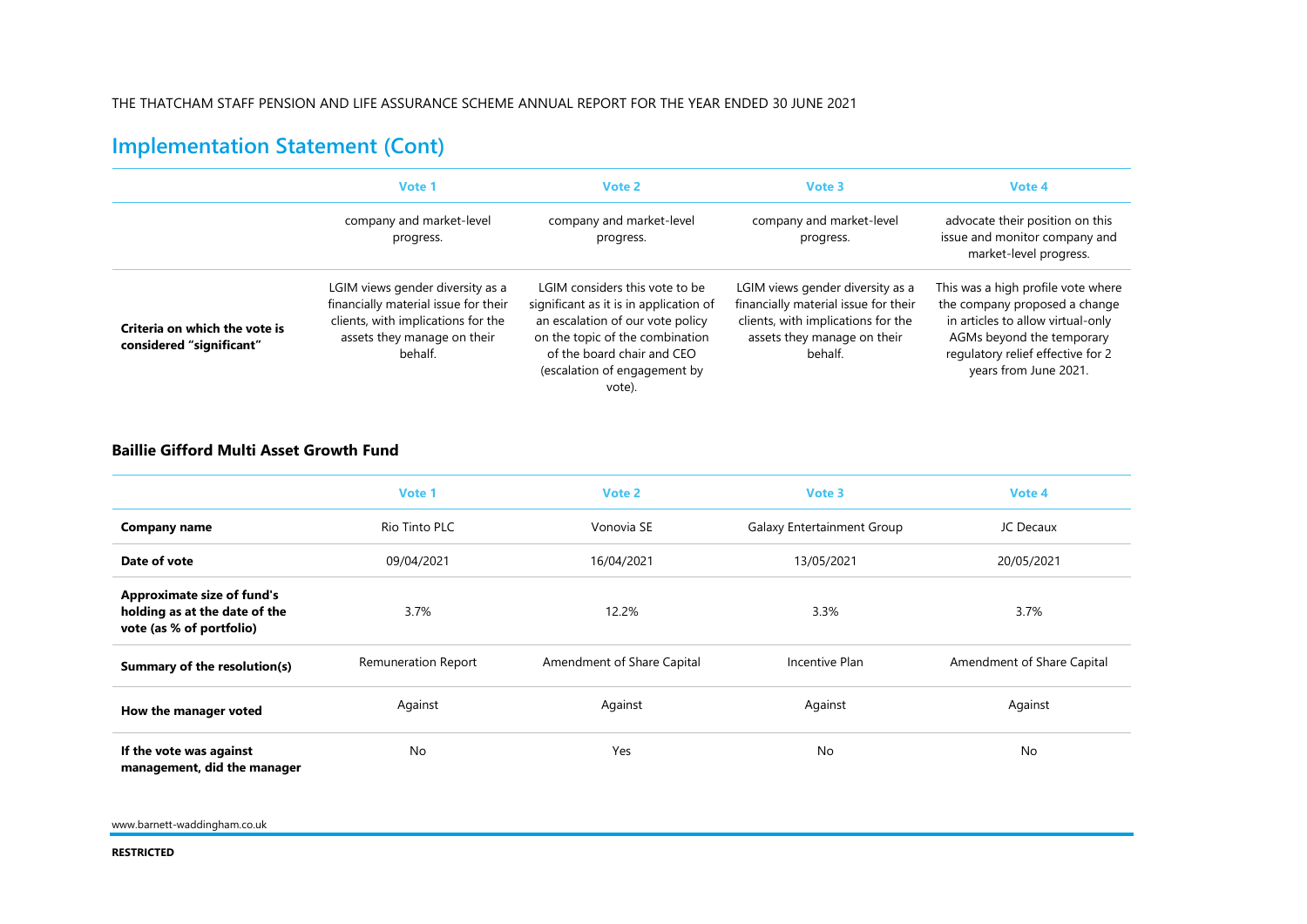## **Implementation Statement (Cont)**

|                                                           | Vote 1                                                                                                                                                   | Vote 2                                                                                                                                                                                                                  | Vote 3                                                                                                                                                   | Vote 4                                                                                                                                                                                              |
|-----------------------------------------------------------|----------------------------------------------------------------------------------------------------------------------------------------------------------|-------------------------------------------------------------------------------------------------------------------------------------------------------------------------------------------------------------------------|----------------------------------------------------------------------------------------------------------------------------------------------------------|-----------------------------------------------------------------------------------------------------------------------------------------------------------------------------------------------------|
|                                                           | company and market-level<br>progress.                                                                                                                    | company and market-level<br>progress.                                                                                                                                                                                   | company and market-level<br>progress.                                                                                                                    | advocate their position on this<br>issue and monitor company and<br>market-level progress.                                                                                                          |
| Criteria on which the vote is<br>considered "significant" | LGIM views gender diversity as a<br>financially material issue for their<br>clients, with implications for the<br>assets they manage on their<br>behalf. | LGIM considers this vote to be<br>significant as it is in application of<br>an escalation of our vote policy<br>on the topic of the combination<br>of the board chair and CEO<br>(escalation of engagement by<br>vote). | LGIM views gender diversity as a<br>financially material issue for their<br>clients, with implications for the<br>assets they manage on their<br>behalf. | This was a high profile vote where<br>the company proposed a change<br>in articles to allow virtual-only<br>AGMs beyond the temporary<br>regulatory relief effective for 2<br>years from June 2021. |

#### **Baillie Gifford Multi Asset Growth Fund**

|                                                                                                | Vote 1                     | Vote 2                     | Vote 3                            | Vote 4                     |
|------------------------------------------------------------------------------------------------|----------------------------|----------------------------|-----------------------------------|----------------------------|
| <b>Company name</b>                                                                            | Rio Tinto PLC              | Vonovia SE                 | <b>Galaxy Entertainment Group</b> | JC Decaux                  |
| Date of vote                                                                                   | 09/04/2021                 | 16/04/2021                 | 13/05/2021                        | 20/05/2021                 |
| <b>Approximate size of fund's</b><br>holding as at the date of the<br>vote (as % of portfolio) | 3.7%                       | 12.2%                      | 3.3%                              | 3.7%                       |
| Summary of the resolution(s)                                                                   | <b>Remuneration Report</b> | Amendment of Share Capital | Incentive Plan                    | Amendment of Share Capital |
| How the manager voted                                                                          | Against                    | Against                    | Against                           | Against                    |
| If the vote was against<br>management, did the manager                                         | No                         | Yes                        | No                                | No                         |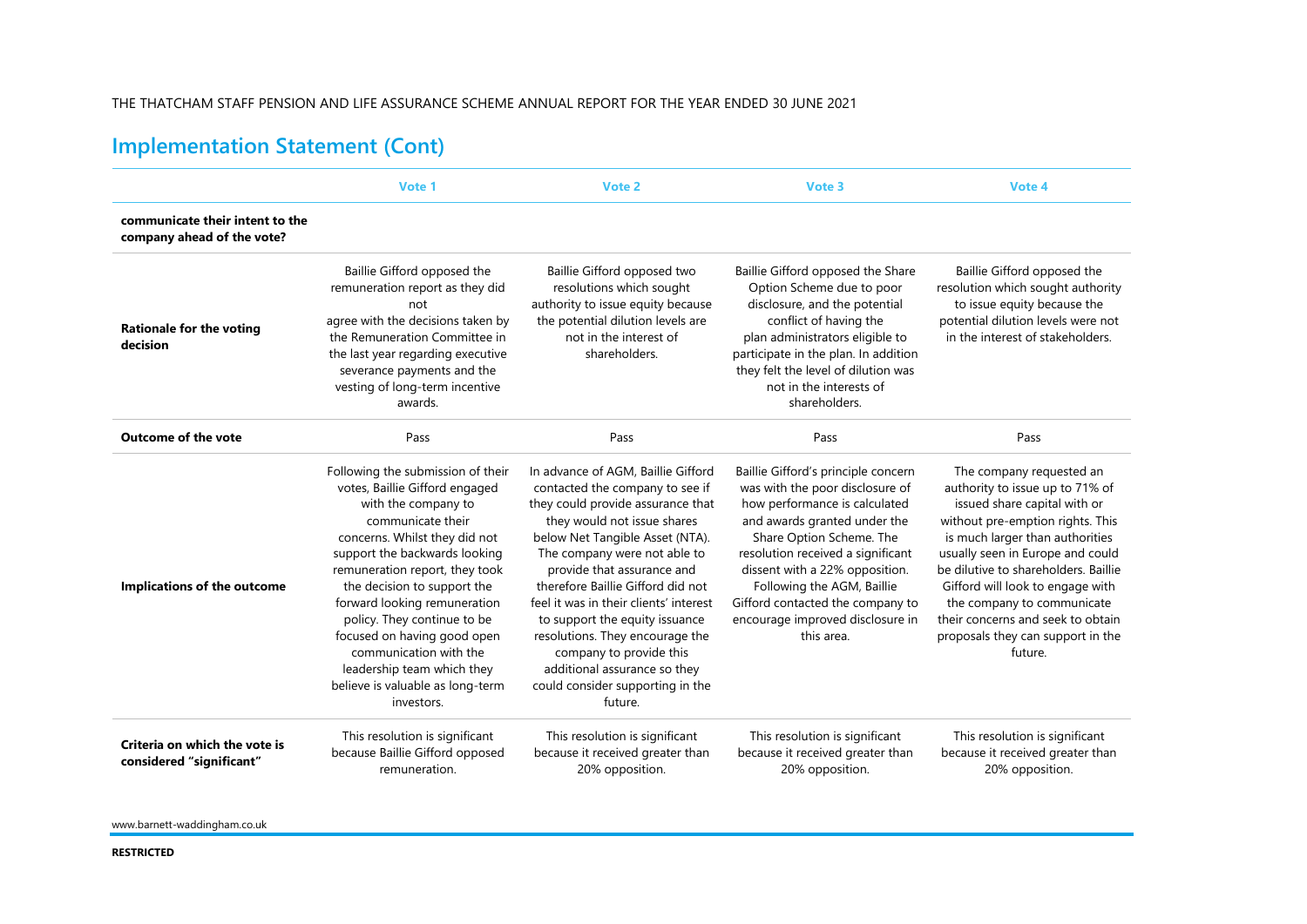#### THE THATCHAM STAFF PENSION AND LIFE ASSURANCE SCHEME ANNUAL REPORT FOR THE YEAR ENDED 30 JUNE 2021

# **Implementation Statement (Cont)**

|                                                               | Vote 1                                                                                                                                                                                                                                                                                                                                                                                                                                                     | Vote 2                                                                                                                                                                                                                                                                                                                                                                                                                                                                                                   | Vote 3                                                                                                                                                                                                                                                                                                                                                         | Vote 4                                                                                                                                                                                                                                                                                                                                                                                                |
|---------------------------------------------------------------|------------------------------------------------------------------------------------------------------------------------------------------------------------------------------------------------------------------------------------------------------------------------------------------------------------------------------------------------------------------------------------------------------------------------------------------------------------|----------------------------------------------------------------------------------------------------------------------------------------------------------------------------------------------------------------------------------------------------------------------------------------------------------------------------------------------------------------------------------------------------------------------------------------------------------------------------------------------------------|----------------------------------------------------------------------------------------------------------------------------------------------------------------------------------------------------------------------------------------------------------------------------------------------------------------------------------------------------------------|-------------------------------------------------------------------------------------------------------------------------------------------------------------------------------------------------------------------------------------------------------------------------------------------------------------------------------------------------------------------------------------------------------|
| communicate their intent to the<br>company ahead of the vote? |                                                                                                                                                                                                                                                                                                                                                                                                                                                            |                                                                                                                                                                                                                                                                                                                                                                                                                                                                                                          |                                                                                                                                                                                                                                                                                                                                                                |                                                                                                                                                                                                                                                                                                                                                                                                       |
| <b>Rationale for the voting</b><br>decision                   | Baillie Gifford opposed the<br>remuneration report as they did<br>not<br>agree with the decisions taken by<br>the Remuneration Committee in<br>the last year regarding executive<br>severance payments and the<br>vesting of long-term incentive<br>awards.                                                                                                                                                                                                | Baillie Gifford opposed two<br>resolutions which sought<br>authority to issue equity because<br>the potential dilution levels are<br>not in the interest of<br>shareholders.                                                                                                                                                                                                                                                                                                                             | Baillie Gifford opposed the Share<br>Option Scheme due to poor<br>disclosure, and the potential<br>conflict of having the<br>plan administrators eligible to<br>participate in the plan. In addition<br>they felt the level of dilution was<br>not in the interests of<br>shareholders.                                                                        | Baillie Gifford opposed the<br>resolution which sought authority<br>to issue equity because the<br>potential dilution levels were not<br>in the interest of stakeholders.                                                                                                                                                                                                                             |
| <b>Outcome of the vote</b>                                    | Pass                                                                                                                                                                                                                                                                                                                                                                                                                                                       | Pass                                                                                                                                                                                                                                                                                                                                                                                                                                                                                                     | Pass                                                                                                                                                                                                                                                                                                                                                           | Pass                                                                                                                                                                                                                                                                                                                                                                                                  |
| Implications of the outcome                                   | Following the submission of their<br>votes, Baillie Gifford engaged<br>with the company to<br>communicate their<br>concerns. Whilst they did not<br>support the backwards looking<br>remuneration report, they took<br>the decision to support the<br>forward looking remuneration<br>policy. They continue to be<br>focused on having good open<br>communication with the<br>leadership team which they<br>believe is valuable as long-term<br>investors. | In advance of AGM, Baillie Gifford<br>contacted the company to see if<br>they could provide assurance that<br>they would not issue shares<br>below Net Tangible Asset (NTA).<br>The company were not able to<br>provide that assurance and<br>therefore Baillie Gifford did not<br>feel it was in their clients' interest<br>to support the equity issuance<br>resolutions. They encourage the<br>company to provide this<br>additional assurance so they<br>could consider supporting in the<br>future. | Baillie Gifford's principle concern<br>was with the poor disclosure of<br>how performance is calculated<br>and awards granted under the<br>Share Option Scheme. The<br>resolution received a significant<br>dissent with a 22% opposition.<br>Following the AGM, Baillie<br>Gifford contacted the company to<br>encourage improved disclosure in<br>this area. | The company requested an<br>authority to issue up to 71% of<br>issued share capital with or<br>without pre-emption rights. This<br>is much larger than authorities<br>usually seen in Europe and could<br>be dilutive to shareholders. Baillie<br>Gifford will look to engage with<br>the company to communicate<br>their concerns and seek to obtain<br>proposals they can support in the<br>future. |
| Criteria on which the vote is<br>considered "significant"     | This resolution is significant<br>because Baillie Gifford opposed<br>remuneration.                                                                                                                                                                                                                                                                                                                                                                         | This resolution is significant<br>because it received greater than<br>20% opposition.                                                                                                                                                                                                                                                                                                                                                                                                                    | This resolution is significant<br>because it received greater than<br>20% opposition.                                                                                                                                                                                                                                                                          | This resolution is significant<br>because it received greater than<br>20% opposition.                                                                                                                                                                                                                                                                                                                 |